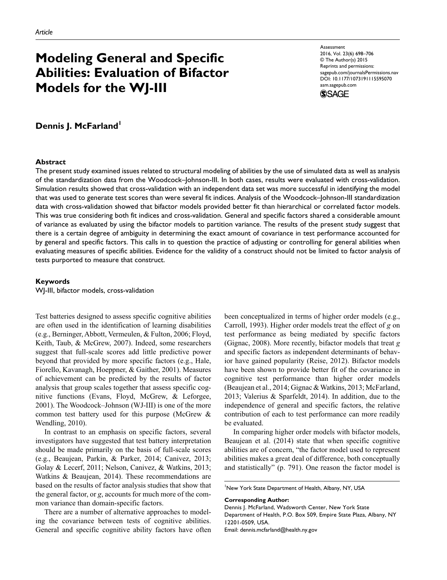# **Modeling General and Specific Abilities: Evaluation of Bifactor Models for the WJ-III**

**Assessment** 2016, Vol. 23(6) 698–706 © The Author(s) 2015 Reprints and permissions: sagepub.com/journalsPermissions.nav DOI: 10.1177/1073191115595070 asm.sagepub.com



# **Dennis J. McFarland**

#### **Abstract**

The present study examined issues related to structural modeling of abilities by the use of simulated data as well as analysis of the standardization data from the Woodcock–Johnson-III. In both cases, results were evaluated with cross-validation. Simulation results showed that cross-validation with an independent data set was more successful in identifying the model that was used to generate test scores than were several fit indices. Analysis of the Woodcock–Johnson-III standardization data with cross-validation showed that bifactor models provided better fit than hierarchical or correlated factor models. This was true considering both fit indices and cross-validation. General and specific factors shared a considerable amount of variance as evaluated by using the bifactor models to partition variance. The results of the present study suggest that there is a certain degree of ambiguity in determining the exact amount of covariance in test performance accounted for by general and specific factors. This calls in to question the practice of adjusting or controlling for general abilities when evaluating measures of specific abilities. Evidence for the validity of a construct should not be limited to factor analysis of tests purported to measure that construct.

#### **Keywords**

WJ-III, bifactor models, cross-validation

Test batteries designed to assess specific cognitive abilities are often used in the identification of learning disabilities (e.g., Berninger, Abbott, Vermeulen, & Fulton, 2006; Floyd, Keith, Taub, & McGrew, 2007). Indeed, some researchers suggest that full-scale scores add little predictive power beyond that provided by more specific factors (e.g., Hale, Fiorello, Kavanagh, Hoeppner, & Gaither, 2001). Measures of achievement can be predicted by the results of factor analysis that group scales together that assess specific cognitive functions (Evans, Floyd, McGrew, & Leforgee, 2001). The Woodcock–Johnson (WJ-III) is one of the more common test battery used for this purpose (McGrew & Wendling, 2010).

In contrast to an emphasis on specific factors, several investigators have suggested that test battery interpretation should be made primarily on the basis of full-scale scores (e.g., Beaujean, Parkin, & Parker, 2014; Canivez, 2013; Golay & Lecerf, 2011; Nelson, Canivez, & Watkins, 2013; Watkins & Beaujean, 2014). These recommendations are based on the results of factor analysis studies that show that the general factor, or *g*, accounts for much more of the common variance than domain-specific factors.

There are a number of alternative approaches to modeling the covariance between tests of cognitive abilities. General and specific cognitive ability factors have often

been conceptualized in terms of higher order models (e.g., Carroll, 1993). Higher order models treat the effect of *g* on test performance as being mediated by specific factors (Gignac, 2008). More recently, bifactor models that treat *g* and specific factors as independent determinants of behavior have gained popularity (Reise, 2012). Bifactor models have been shown to provide better fit of the covariance in cognitive test performance than higher order models (Beaujean et al., 2014; Gignac & Watkins, 2013; McFarland, 2013; Valerius & Sparfeldt, 2014). In addition, due to the independence of general and specific factors, the relative contribution of each to test performance can more readily be evaluated.

In comparing higher order models with bifactor models, Beaujean et al. (2014) state that when specific cognitive abilities are of concern, "the factor model used to represent abilities makes a great deal of difference, both conceptually and statistically" (p. 791). One reason the factor model is

**Corresponding Author:**

Dennis J. McFarland, Wadsworth Center, New York State Department of Health, P.O. Box 509, Empire State Plaza, Albany, NY 12201-0509, USA. Email: [dennis.mcfarland@health.ny.gov](mailto:dennis.mcfarland@health.ny.gov)

<sup>&</sup>lt;sup>1</sup>New York State Department of Health, Albany, NY, USA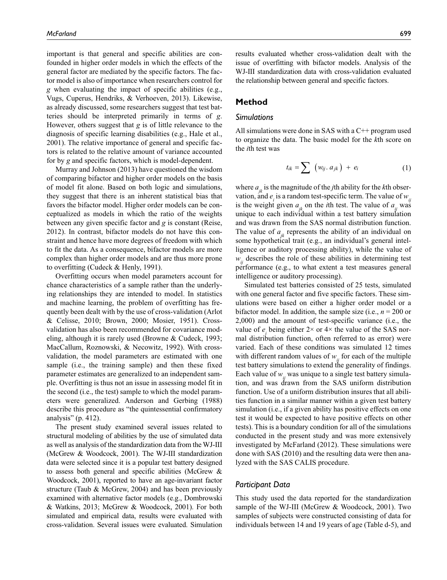important is that general and specific abilities are confounded in higher order models in which the effects of the general factor are mediated by the specific factors. The factor model is also of importance when researchers control for *g* when evaluating the impact of specific abilities (e.g., Vugs, Cuperus, Hendriks, & Verhoeven, 2013). Likewise, as already discussed, some researchers suggest that test batteries should be interpreted primarily in terms of *g*. However, others suggest that *g* is of little relevance to the diagnosis of specific learning disabilities (e.g., Hale et al., 2001). The relative importance of general and specific factors is related to the relative amount of variance accounted for by *g* and specific factors, which is model-dependent.

Murray and Johnson (2013) have questioned the wisdom of comparing bifactor and higher order models on the basis of model fit alone. Based on both logic and simulations, they suggest that there is an inherent statistical bias that favors the bifactor model. Higher order models can be conceptualized as models in which the ratio of the weights between any given specific factor and *g* is constant (Reise, 2012). In contrast, bifactor models do not have this constraint and hence have more degrees of freedom with which to fit the data. As a consequence, bifactor models are more complex than higher order models and are thus more prone to overfitting (Cudeck & Henly, 1991).

Overfitting occurs when model parameters account for chance characteristics of a sample rather than the underlying relationships they are intended to model. In statistics and machine learning, the problem of overfitting has frequently been dealt with by the use of cross-validation (Arlot & Celisse, 2010; Brown, 2000; Mosier, 1951). Crossvalidation has also been recommended for covariance modeling, although it is rarely used (Browne & Cudeck, 1993; MacCallum, Roznowski, & Necowitz, 1992). With crossvalidation, the model parameters are estimated with one sample (i.e., the training sample) and then these fixed parameter estimates are generalized to an independent sample. Overfitting is thus not an issue in assessing model fit in the second (i.e., the test) sample to which the model parameters were generalized. Anderson and Gerbing (1988) describe this procedure as "the quintessential confirmatory analysis" (p. 412).

The present study examined several issues related to structural modeling of abilities by the use of simulated data as well as analysis of the standardization data from the WJ-III (McGrew & Woodcock, 2001). The WJ-III standardization data were selected since it is a popular test battery designed to assess both general and specific abilities (McGrew & Woodcock, 2001), reported to have an age-invariant factor structure (Taub & McGrew, 2004) and has been previously examined with alternative factor models (e.g., Dombrowski & Watkins, 2013; McGrew & Woodcock, 2001). For both simulated and empirical data, results were evaluated with cross-validation. Several issues were evaluated. Simulation

results evaluated whether cross-validation dealt with the issue of overfitting with bifactor models. Analysis of the WJ-III standardization data with cross-validation evaluated the relationship between general and specific factors.

## **Method**

#### *Simulations*

All simulations were done in SAS with a C++ program used to organize the data. The basic model for the *k*th score on the *i*th test was

$$
t_{ik} = \sum (w_{ij}. a_{jk}) + e_i
$$
 (1)

where  $a_{ik}$  is the magnitude of the *j*th ability for the *k*th observation, and *e*<sub>*i*</sub> is a random test-specific term. The value of  $w_{ij}$  is the weight given  $a_{ik}$  on the *i*th test. The value of  $a_{ij}$  was unique to each individual within a test battery simulation and was drawn from the SAS normal distribution function. The value of  $a_{ik}$  represents the ability of an individual on some hypothetical trait (e.g., an individual's general intelligence or auditory processing ability), while the value of  $w_{ij}$  describes the role of these abilities in determining test performance (e.g., to what extent a test measures general intelligence or auditory processing).

Simulated test batteries consisted of 25 tests, simulated with one general factor and five specific factors. These simulations were based on either a higher order model or a bifactor model. In addition, the sample size (i.e., *n* = 200 or 2,000) and the amount of test-specific variance (i.e., the value of  $e_i$  being either  $2 \times$  or  $4 \times$  the value of the SAS nor*i* distribution function, often referred to as error) were varied. Each of these conditions was simulated 12 times with different random values of  $w_{ij}$  for each of the multiple test battery simulations to extend the generality of findings. Each value of  $w<sub>n</sub>$  was unique to a single test battery simula-Even value of  $n_{ij}$  was drawn from the SAS uniform distribution function. Use of a uniform distribution insures that all abilities function in a similar manner within a given test battery simulation (i.e., if a given ability has positive effects on one test it would be expected to have positive effects on other tests). This is a boundary condition for all of the simulations conducted in the present study and was more extensively investigated by McFarland (2012). These simulations were done with SAS (2010) and the resulting data were then analyzed with the SAS CALIS procedure.

#### *Participant Data*

This study used the data reported for the standardization sample of the WJ-III (McGrew & Woodcock, 2001). Two samples of subjects were constructed consisting of data for individuals between 14 and 19 years of age (Table d-5), and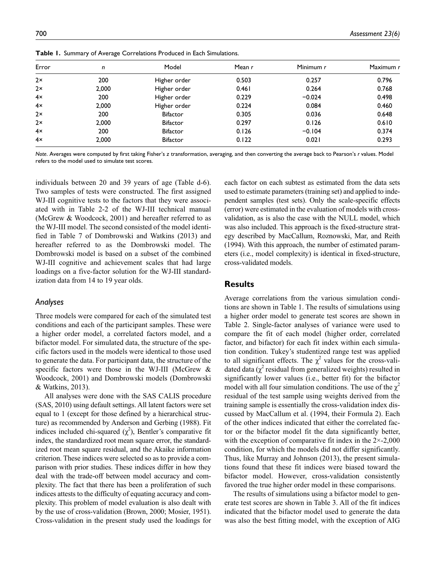| Error               | n     | Model           | Mean r | Minimum r | Maximum r |  |
|---------------------|-------|-----------------|--------|-----------|-----------|--|
| $2^{\times}$<br>200 |       | Higher order    | 0.503  | 0.257     | 0.796     |  |
| $2\times$           | 2,000 | Higher order    | 0.461  | 0.264     | 0.768     |  |
| $4\times$           | 200   | Higher order    | 0.229  | $-0.024$  | 0.498     |  |
| $4\times$           | 2,000 | Higher order    | 0.224  | 0.084     | 0.460     |  |
| $2\times$           | 200   | <b>Bifactor</b> | 0.305  | 0.036     | 0.648     |  |
| $2\times$           | 2,000 | <b>Bifactor</b> | 0.297  | 0.126     | 0.610     |  |
| $4\times$           | 200   | <b>Bifactor</b> | 0.126  | $-0.104$  | 0.374     |  |
| 4x                  | 2,000 | <b>Bifactor</b> | 0.122  | 0.021     | 0.293     |  |

**Table 1.** Summary of Average Correlations Produced in Each Simulations.

*Note*. Averages were computed by first taking Fisher's *z* transformation, averaging, and then converting the average back to Pearson's *r* values. Model refers to the model used to simulate test scores.

individuals between 20 and 39 years of age (Table d-6). Two samples of tests were constructed. The first assigned WJ-III cognitive tests to the factors that they were associated with in Table 2-2 of the WJ-III technical manual (McGrew & Woodcock, 2001) and hereafter referred to as the WJ-III model. The second consisted of the model identified in Table 7 of Dombrowski and Watkins (2013) and hereafter referred to as the Dombrowski model. The Dombrowski model is based on a subset of the combined WJ-III cognitive and achievement scales that had large loadings on a five-factor solution for the WJ-III standardization data from 14 to 19 year olds.

#### *Analyses*

Three models were compared for each of the simulated test conditions and each of the participant samples. These were a higher order model, a correlated factors model, and a bifactor model. For simulated data, the structure of the specific factors used in the models were identical to those used to generate the data. For participant data, the structure of the specific factors were those in the WJ-III (McGrew & Woodcock, 2001) and Dombrowski models (Dombrowski & Watkins, 2013).

All analyses were done with the SAS CALIS procedure (SAS, 2010) using default settings. All latent factors were set equal to 1 (except for those defined by a hierarchical structure) as recommended by Anderson and Gerbing (1988). Fit indices included chi-squared  $(\chi^2)$ , Bentler's comparative fit index, the standardized root mean square error, the standardized root mean square residual, and the Akaike information criterion. These indices were selected so as to provide a comparison with prior studies. These indices differ in how they deal with the trade-off between model accuracy and complexity. The fact that there has been a proliferation of such indices attests to the difficulty of equating accuracy and complexity. This problem of model evaluation is also dealt with by the use of cross-validation (Brown, 2000; Mosier, 1951). Cross-validation in the present study used the loadings for

each factor on each subtest as estimated from the data sets used to estimate parameters (training set) and applied to independent samples (test sets). Only the scale-specific effects (error) were estimated in the evaluation of models with crossvalidation, as is also the case with the NULL model, which was also included. This approach is the fixed-structure strategy described by MacCallum, Roznowski, Mar, and Reith (1994). With this approach, the number of estimated parameters (i.e., model complexity) is identical in fixed-structure, cross-validated models.

### **Results**

Average correlations from the various simulation conditions are shown in Table 1. The results of simulations using a higher order model to generate test scores are shown in Table 2. Single-factor analyses of variance were used to compare the fit of each model (higher order, correlated factor, and bifactor) for each fit index within each simulation condition. Tukey's studentized range test was applied to all significant effects. The  $\chi^2$  values for the cross-validated data ( $\chi^2$  residual from generalized weights) resulted in significantly lower values (i.e., better fit) for the bifactor model with all four simulation conditions. The use of the  $\chi^2$ residual of the test sample using weights derived from the training sample is essentially the cross-validation index discussed by MacCallum et al. (1994, their Formula 2). Each of the other indices indicated that either the correlated factor or the bifactor model fit the data significantly better, with the exception of comparative fit index in the  $2\times 2,000$ condition, for which the models did not differ significantly. Thus, like Murray and Johnson (2013), the present simulations found that these fit indices were biased toward the bifactor model. However, cross-validation consistently favored the true higher order model in these comparisons.

The results of simulations using a bifactor model to generate test scores are shown in Table 3. All of the fit indices indicated that the bifactor model used to generate the data was also the best fitting model, with the exception of AIG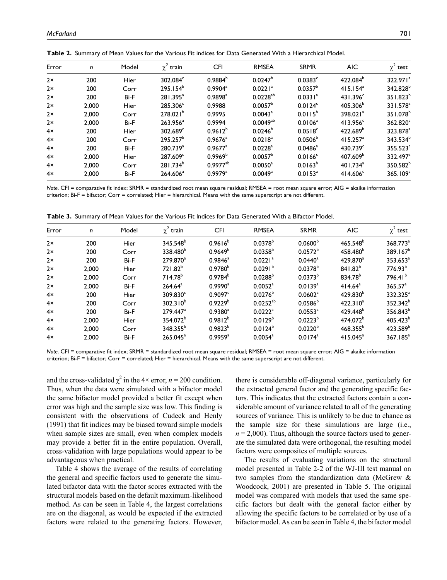| Error     | n     | Model | $\chi^2$ train       | <b>CFI</b>            | <b>RMSEA</b>          | <b>SRMR</b>         | AIC.                 | $\chi^2$ test        |
|-----------|-------|-------|----------------------|-----------------------|-----------------------|---------------------|----------------------|----------------------|
| 2x        | 200   | Hier  | 302.084°             | $0.9884^{b}$          | $0.0247^b$            | $0.0383^{\circ}$    | 422.084 <sup>b</sup> | 322.971 <sup>a</sup> |
| $2\times$ | 200   | Corr  | $295.154^b$          | $0.9904$ <sup>a</sup> | $0.0221$ <sup>a</sup> | $0.0357^{b}$        | 415.154 <sup>a</sup> | 342.828 <sup>b</sup> |
| $2\times$ | 200   | Bi-F  | $281.395^a$          | $0.9898$ <sup>a</sup> | $0.0228^{ab}$         | 0.0331 <sup>a</sup> | 431.396°             | 351.823 <sup>b</sup> |
| 2x        | 2.000 | Hier  | 285.306 <sup>c</sup> | 0.9988                | $0.0057^b$            | $0.0124^{\circ}$    | $405.306^{b}$        | 331.578 <sup>a</sup> |
| $2\times$ | 2.000 | Corr  | 278.021 <sup>b</sup> | 0.9995                | $0.0043$ <sup>a</sup> | $0.0115^{b}$        | 398.021 <sup>a</sup> | 351.078 <sup>b</sup> |
| $2\times$ | 2.000 | Bi-F  | $263.956^a$          | 0.9994                | $0.0049^{ab}$         | 0.0106 <sup>a</sup> | 413.956°             | 362.820°             |
| 4x        | 200   | Hier  | $302.689^{\circ}$    | $0.9612^{b}$          | $0.0246^{b}$          | $0.0518^{\circ}$    | 422.689 <sup>b</sup> | 323.878 <sup>a</sup> |
| 4x        | 200   | Corr  | 295.257 <sup>b</sup> | $0.9676^a$            | 0.0218 <sup>a</sup>   | $0.0506^b$          | 415.257 <sup>a</sup> | 343.534 <sup>b</sup> |
| 4x        | 200   | Bi-F  | 280.739 <sup>a</sup> | $0.9677$ <sup>a</sup> | $0.0228$ <sup>a</sup> | $0.0486^a$          | 430.739c             | 355.523 <sup>c</sup> |
| 4x        | 2.000 | Hier  | 287.609°             | $0.9969^{b}$          | $0.0057^b$            | $0.0166^{\circ}$    | 407.609 <sup>b</sup> | 332.497 <sup>a</sup> |
| 4x        | 2.000 | Corr  | 281.734 <sup>b</sup> | $0.9977^{ab}$         | $0.0050^a$            | $0.0163^{b}$        | 401.734 $a$          | 350.582 <sup>b</sup> |
| 4x        | 2.000 | Bi-F  | 264.606 <sup>a</sup> | $0.9979$ <sup>a</sup> | $0.0049$ <sup>a</sup> | 0.0153 <sup>a</sup> | $414.606^{\circ}$    | 365.109°             |

**Table 2.** Summary of Mean Values for the Various Fit indices for Data Generated With a Hierarchical Model.

*Note*. CFI = comparative fit index; SRMR = standardized root mean square residual; RMSEA = root mean square error; AIG = akaike information criterion; Bi-F = bifactor; Corr = correlated; Hier = hierarchical. Means with the same superscript are not different.

| Error     | n     | Model | $\chi^2$ train       | <b>CFI</b>            | <b>RMSEA</b>          | <b>SRMR</b>           | <b>AIC</b>           | $\chi^2$ test        |
|-----------|-------|-------|----------------------|-----------------------|-----------------------|-----------------------|----------------------|----------------------|
| 2x        | 200   | Hier  | 345.548 <sup>b</sup> | $0.9616^{b}$          | $0.0378^{b}$          | 0.0600 <sup>b</sup>   | $465.548^{b}$        | 368.773 <sup>a</sup> |
| 2x        | 200   | Corr  | 338.480 <sup>b</sup> | $0.9649^b$            | $0.0358^{b}$          | $0.0572^b$            | 458.480 <sup>b</sup> | $389.167^b$          |
| 2x        | 200   | Bi-F  | 279.870 <sup>a</sup> | $0.9846^a$            | $0.0221$ <sup>a</sup> | $0.0440^a$            | 429.870 <sup>a</sup> | 353.653 <sup>a</sup> |
| 2x        | 2.000 | Hier  | 721.82 <sup>b</sup>  | $0.9780^{b}$          | $0.0291^{b}$          | $0.0378^{b}$          | $841.82^{b}$         | $776.93^{b}$         |
| 2x        | 2,000 | Corr  | $714.78^{b}$         | $0.9784^b$            | $0.0288^{b}$          | $0.0373^{b}$          | 834.78 <sup>b</sup>  | $796.41^{b}$         |
| $2\times$ | 2.000 | Bi-F  | $264.64^a$           | $0.9990$ <sup>a</sup> | $0.0052$ <sup>a</sup> | 0.0139 <sup>a</sup>   | $414.64^{a}$         | 365.57 <sup>a</sup>  |
| 4x        | 200   | Hier  | $309.830^{\circ}$    | $0.9097^{\circ}$      | $0.0276^b$            | $0.0602^{\circ}$      | 429.830 <sup>b</sup> | 332.325 <sup>a</sup> |
| 4x        | 200   | Corr  | $302.310^{b}$        | $0.9229^{b}$          | $0.0252^{ab}$         | $0.0586^{b}$          | $422.310^{a}$        | $352.342^{b}$        |
| 4x        | 200   | Bi-F  | 279.447 <sup>a</sup> | $0.9380^a$            | $0.0222$ <sup>a</sup> | 0.0553 <sup>a</sup>   | $429.448^{b}$        | $356.843^{b}$        |
| 4x        | 2.000 | Hier  | $354.072^{b}$        | $0.9812^{b}$          | $0.0129^{b}$          | $0.0223^{b}$          | 474.072 <sup>b</sup> | $405.423^{b}$        |
| 4x        | 2.000 | Corr  | $348.355^{b}$        | $0.9823^{b}$          | $0.0124^b$            | $0.0220^{b}$          | $468.355^{b}$        | $423.589^{b}$        |
| 4x        | 2.000 | Bi-F  | $265.045^a$          | $0.9959$ <sup>a</sup> | $0.0054^a$            | $0.0174$ <sup>a</sup> | $415.045^a$          | $367.185^a$          |

**Table 3.** Summary of Mean Values for the Various Fit Indices for Data Generated With a Bifactor Model.

*Note*. CFI = comparative fit index; SRMR = standardized root mean square residual; RMSEA = root mean square error; AIG = akaike information criterion; Bi-F = bifactor; Corr = correlated; Hier = hierarchical. Means with the same superscript are not different.

and the cross-validated  $\chi^2$  in the 4× error, *n* = 200 condition. Thus, when the data were simulated with a bifactor model the same bifactor model provided a better fit except when error was high and the sample size was low. This finding is consistent with the observations of Cudeck and Henly (1991) that fit indices may be biased toward simple models when sample sizes are small, even when complex models may provide a better fit in the entire population. Overall, cross-validation with large populations would appear to be advantageous when practical.

Table 4 shows the average of the results of correlating the general and specific factors used to generate the simulated bifactor data with the factor scores extracted with the structural models based on the default maximum-likelihood method. As can be seen in Table 4, the largest correlations are on the diagonal, as would be expected if the extracted factors were related to the generating factors. However,

there is considerable off-diagonal variance, particularly for the extracted general factor and the generating specific factors. This indicates that the extracted factors contain a considerable amount of variance related to all of the generating sources of variance. This is unlikely to be due to chance as the sample size for these simulations are large (i.e.,  $n = 2,000$ . Thus, although the source factors used to generate the simulated data were orthogonal, the resulting model factors were composites of multiple sources.

The results of evaluating variations on the structural model presented in Table 2-2 of the WJ-III test manual on two samples from the standardization data (McGrew & Woodcock, 2001) are presented in Table 5. The original model was compared with models that used the same specific factors but dealt with the general factor either by allowing the specific factors to be correlated or by use of a bifactor model. As can be seen in Table 4, the bifactor model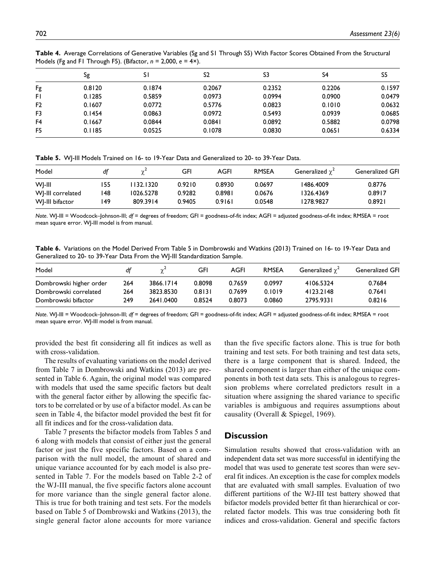| S3     | S2     | s١     | Sg     |                |
|--------|--------|--------|--------|----------------|
| 0.2352 | 0.2067 | 0.1874 | 0.8120 | Fg             |
| 0.0994 | 0.0973 | 0.5859 | 0.1285 | FI             |
| 0.0823 | 0.5776 | 0.0772 | 0.1607 | F <sub>2</sub> |
| 0.5493 | 0.0972 | 0.0863 | 0.1454 | F <sub>3</sub> |
| 0.0892 | 0.0841 | 0.0844 | 0.1667 | F <sub>4</sub> |
| 0.0830 | 0.1078 | 0.0525 | 0.1185 | F <sub>5</sub> |
|        |        |        |        |                |

**Table 4.** Average Correlations of Generative Variables (Sg and S1 Through S5) With Factor Scores Obtained From the Structural Models (Fg and F1 Through F5). (Bifactor, *n* = 2,000, *e* = 4×).

**Table 5.** WJ-III Models Trained on 16- to 19-Year Data and Generalized to 20- to 39-Year Data.

| Model             | df   |           | GFI    | AGFI   | <b>RMSEA</b> | Generalized $\chi^2$ | <b>Generalized GFI</b> |
|-------------------|------|-----------|--------|--------|--------------|----------------------|------------------------|
| WI-III            | l 55 | 132.1320  | 0.9210 | 0.8930 | 0.0697       | 1486.4009            | 0.8776                 |
| WI-III correlated | 148  | 1026.5278 | 0.9282 | 0.8981 | 0.0676       | 1326.4369            | 0.8917                 |
| WJ-III bifactor   | 149  | 809.3914  | 0.9405 | 0.9161 | 0.0548       | 1278.9827            | 0.8921                 |

*Note*. WJ-III = Woodcock–Johnson-III; *df* = degrees of freedom; GFI = goodness-of-fit index; AGFI = adjusted goodness-of-fit index; RMSEA = root mean square error. WJ-III model is from manual.

**Table 6.** Variations on the Model Derived From Table 5 in Dombrowski and Watkins (2013) Trained on 16- to 19-Year Data and Generalized to 20- to 39-Year Data From the WJ-III Standardization Sample.

| Model                   | df  |           | GFI    | AGFI   | <b>RMSEA</b> | Generalized $\gamma^2$ | <b>Generalized GFI</b> |
|-------------------------|-----|-----------|--------|--------|--------------|------------------------|------------------------|
| Dombrowski higher order | 264 | 3866.1714 | 0.8098 | 0.7659 | 0.0997       | 4106.5324              | 0.7684                 |
| Dombrowski correlated   | 264 | 3823.8530 | 0.8131 | 0.7699 | 0.1019       | 4123.2148              | 0.7641                 |
| Dombrowski bifactor     | 249 | 2641.0400 | 0.8524 | 0.8073 | 0.0860       | 2795.9331              | 0.8216                 |

*Note*. WJ-III = Woodcock–Johnson-III; *df* = degrees of freedom; GFI = goodness-of-fit index; AGFI = adjusted goodness-of-fit index; RMSEA = root mean square error. WJ-III model is from manual.

provided the best fit considering all fit indices as well as with cross-validation.

The results of evaluating variations on the model derived from Table 7 in Dombrowski and Watkins (2013) are presented in Table 6. Again, the original model was compared with models that used the same specific factors but dealt with the general factor either by allowing the specific factors to be correlated or by use of a bifactor model. As can be seen in Table 4, the bifactor model provided the best fit for all fit indices and for the cross-validation data.

Table 7 presents the bifactor models from Tables 5 and 6 along with models that consist of either just the general factor or just the five specific factors. Based on a comparison with the null model, the amount of shared and unique variance accounted for by each model is also presented in Table 7. For the models based on Table 2-2 of the WJ-III manual, the five specific factors alone account for more variance than the single general factor alone. This is true for both training and test sets. For the models based on Table 5 of Dombrowski and Watkins (2013), the single general factor alone accounts for more variance than the five specific factors alone. This is true for both training and test sets. For both training and test data sets, there is a large component that is shared. Indeed, the shared component is larger than either of the unique components in both test data sets. This is analogous to regression problems where correlated predictors result in a situation where assigning the shared variance to specific variables is ambiguous and requires assumptions about causality (Overall & Spiegel, 1969).

# **Discussion**

Simulation results showed that cross-validation with an independent data set was more successful in identifying the model that was used to generate test scores than were several fit indices. An exception is the case for complex models that are evaluated with small samples. Evaluation of two different partitions of the WJ-III test battery showed that bifactor models provided better fit than hierarchical or correlated factor models. This was true considering both fit indices and cross-validation. General and specific factors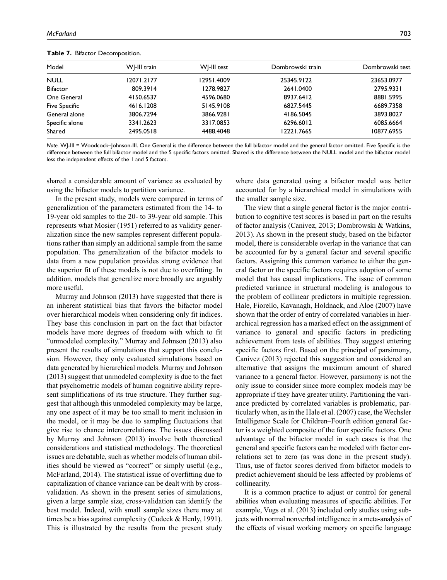| Model           | WI-III train | WI-III test | Dombrowski train | Dombrowski test |  |  |  |  |
|-----------------|--------------|-------------|------------------|-----------------|--|--|--|--|
| <b>NULL</b>     | 12071.2177   | 12951.4009  | 25345.9122       | 23653.0977      |  |  |  |  |
| <b>Bifactor</b> | 809.3914     | 1278.9827   | 2641.0400        | 2795.9331       |  |  |  |  |
| One General     | 4150.6537    | 4596.0680   | 8937.6412        | 8881.5995       |  |  |  |  |
| Five Specific   | 4616.1208    | 5145.9108   | 6827.5445        | 6689.7358       |  |  |  |  |
| General alone   | 3806.7294    | 3866.9281   | 4186.5045        | 3893.8027       |  |  |  |  |
| Specific alone  | 3341.2623    | 3317.0853   | 6296.6012        | 6085.6664       |  |  |  |  |
| Shared          | 2495.0518    | 4488.4048   | 12221.7665       | 10877.6955      |  |  |  |  |

**Table 7.** Bifactor Decomposition.

*Note.* WJ-III = Woodcock–Johnson-III. One General is the difference between the full bifactor model and the general factor omitted. Five Specific is the difference between the full bifactor model and the 5 specific factors omitted. Shared is the difference between the NULL model and the bifactor model less the independent effects of the 1 and 5 factors.

shared a considerable amount of variance as evaluated by using the bifactor models to partition variance.

In the present study, models were compared in terms of generalization of the parameters estimated from the 14- to 19-year old samples to the 20- to 39-year old sample. This represents what Mosier (1951) referred to as validity generalization since the new samples represent different populations rather than simply an additional sample from the same population. The generalization of the bifactor models to data from a new population provides strong evidence that the superior fit of these models is not due to overfitting. In addition, models that generalize more broadly are arguably more useful.

Murray and Johnson (2013) have suggested that there is an inherent statistical bias that favors the bifactor model over hierarchical models when considering only fit indices. They base this conclusion in part on the fact that bifactor models have more degrees of freedom with which to fit "unmodeled complexity." Murray and Johnson (2013) also present the results of simulations that support this conclusion. However, they only evaluated simulations based on data generated by hierarchical models. Murray and Johnson (2013) suggest that unmodeled complexity is due to the fact that psychometric models of human cognitive ability represent simplifications of its true structure. They further suggest that although this unmodeled complexity may be large, any one aspect of it may be too small to merit inclusion in the model, or it may be due to sampling fluctuations that give rise to chance intercorrelations. The issues discussed by Murray and Johnson (2013) involve both theoretical considerations and statistical methodology. The theoretical issues are debatable, such as whether models of human abilities should be viewed as "correct" or simply useful (e.g., McFarland, 2014). The statistical issue of overfitting due to capitalization of chance variance can be dealt with by crossvalidation. As shown in the present series of simulations, given a large sample size, cross-validation can identify the best model. Indeed, with small sample sizes there may at times be a bias against complexity (Cudeck & Henly, 1991). This is illustrated by the results from the present study

where data generated using a bifactor model was better accounted for by a hierarchical model in simulations with the smaller sample size.

The view that a single general factor is the major contribution to cognitive test scores is based in part on the results of factor analysis (Canivez, 2013; Dombrowski & Watkins, 2013). As shown in the present study, based on the bifactor model, there is considerable overlap in the variance that can be accounted for by a general factor and several specific factors. Assigning this common variance to either the general factor or the specific factors requires adoption of some model that has causal implications. The issue of common predicted variance in structural modeling is analogous to the problem of collinear predictors in multiple regression. Hale, Fiorello, Kavanagh, Holdnack, and Aloe (2007) have shown that the order of entry of correlated variables in hierarchical regression has a marked effect on the assignment of variance to general and specific factors in predicting achievement from tests of abilities. They suggest entering specific factors first. Based on the principal of parsimony, Canivez (2013) rejected this suggestion and considered an alternative that assigns the maximum amount of shared variance to a general factor. However, parsimony is not the only issue to consider since more complex models may be appropriate if they have greater utility. Partitioning the variance predicted by correlated variables is problematic, particularly when, as in the Hale et al. (2007) case, the Wechsler Intelligence Scale for Children–Fourth edition general factor is a weighted composite of the four specific factors. One advantage of the bifactor model in such cases is that the general and specific factors can be modeled with factor correlations set to zero (as was done in the present study). Thus, use of factor scores derived from bifactor models to predict achievement should be less affected by problems of collinearity.

It is a common practice to adjust or control for general abilities when evaluating measures of specific abilities. For example, Vugs et al. (2013) included only studies using subjects with normal nonverbal intelligence in a meta-analysis of the effects of visual working memory on specific language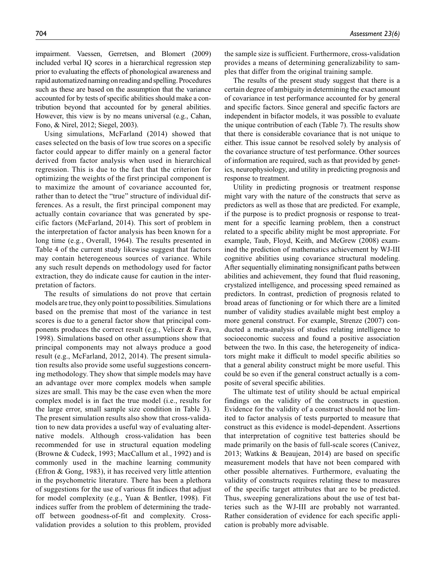impairment. Vaessen, Gerretsen, and Blomert (2009) included verbal IQ scores in a hierarchical regression step prior to evaluating the effects of phonological awareness and rapid automatized naming on reading and spelling. Procedures such as these are based on the assumption that the variance accounted for by tests of specific abilities should make a contribution beyond that accounted for by general abilities. However, this view is by no means universal (e.g., Cahan, Fono, & Nirel, 2012; Siegel, 2003).

Using simulations, McFarland (2014) showed that cases selected on the basis of low true scores on a specific factor could appear to differ mainly on a general factor derived from factor analysis when used in hierarchical regression. This is due to the fact that the criterion for optimizing the weights of the first principal component is to maximize the amount of covariance accounted for, rather than to detect the "true" structure of individual differences. As a result, the first principal component may actually contain covariance that was generated by specific factors (McFarland, 2014). This sort of problem in the interpretation of factor analysis has been known for a long time (e.g., Overall, 1964). The results presented in Table 4 of the current study likewise suggest that factors may contain heterogeneous sources of variance. While any such result depends on methodology used for factor extraction, they do indicate cause for caution in the interpretation of factors.

The results of simulations do not prove that certain models are true, they only point to possibilities. Simulations based on the premise that most of the variance in test scores is due to a general factor show that principal components produces the correct result (e.g., Velicer & Fava, 1998). Simulations based on other assumptions show that principal components may not always produce a good result (e.g., McFarland, 2012, 2014). The present simulation results also provide some useful suggestions concerning methodology. They show that simple models may have an advantage over more complex models when sample sizes are small. This may be the case even when the more complex model is in fact the true model (i.e., results for the large error, small sample size condition in Table 3). The present simulation results also show that cross-validation to new data provides a useful way of evaluating alternative models. Although cross-validation has been recommended for use in structural equation modeling (Browne & Cudeck, 1993; MacCallum et al., 1992) and is commonly used in the machine learning community (Efron & Gong, 1983), it has received very little attention in the psychometric literature. There has been a plethora of suggestions for the use of various fit indices that adjust for model complexity (e.g., Yuan & Bentler, 1998). Fit indices suffer from the problem of determining the tradeoff between goodness-of-fit and complexity. Crossvalidation provides a solution to this problem, provided

the sample size is sufficient. Furthermore, cross-validation provides a means of determining generalizability to samples that differ from the original training sample.

The results of the present study suggest that there is a certain degree of ambiguity in determining the exact amount of covariance in test performance accounted for by general and specific factors. Since general and specific factors are independent in bifactor models, it was possible to evaluate the unique contribution of each (Table 7). The results show that there is considerable covariance that is not unique to either. This issue cannot be resolved solely by analysis of the covariance structure of test performance. Other sources of information are required, such as that provided by genetics, neurophysiology, and utility in predicting prognosis and response to treatment.

Utility in predicting prognosis or treatment response might vary with the nature of the constructs that serve as predictors as well as those that are predicted. For example, if the purpose is to predict prognosis or response to treatment for a specific learning problem, then a construct related to a specific ability might be most appropriate. For example, Taub, Floyd, Keith, and McGrew (2008) examined the prediction of mathematics achievement by WJ-III cognitive abilities using covariance structural modeling. After sequentially eliminating nonsignificant paths between abilities and achievement, they found that fluid reasoning, crystalized intelligence, and processing speed remained as predictors. In contrast, prediction of prognosis related to broad areas of functioning or for which there are a limited number of validity studies available might best employ a more general construct. For example, Strenze (2007) conducted a meta-analysis of studies relating intelligence to socioeconomic success and found a positive association between the two. In this case, the heterogeneity of indicators might make it difficult to model specific abilities so that a general ability construct might be more useful. This could be so even if the general construct actually is a composite of several specific abilities.

The ultimate test of utility should be actual empirical findings on the validity of the constructs in question. Evidence for the validity of a construct should not be limited to factor analysis of tests purported to measure that construct as this evidence is model-dependent. Assertions that interpretation of cognitive test batteries should be made primarily on the basis of full-scale scores (Canivez, 2013; Watkins & Beaujean, 2014) are based on specific measurement models that have not been compared with other possible alternatives. Furthermore, evaluating the validity of constructs requires relating these to measures of the specific target attributes that are to be predicted. Thus, sweeping generalizations about the use of test batteries such as the WJ-III are probably not warranted. Rather consideration of evidence for each specific application is probably more advisable.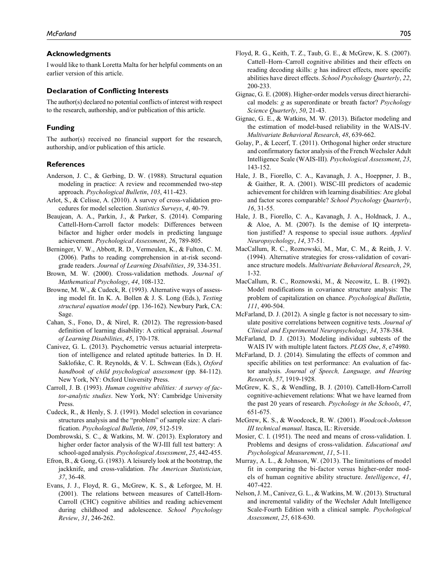#### **Acknowledgments**

I would like to thank Loretta Malta for her helpful comments on an earlier version of this article.

#### **Declaration of Conflicting Interests**

The author(s) declared no potential conflicts of interest with respect to the research, authorship, and/or publication of this article.

#### **Funding**

The author(s) received no financial support for the research, authorship, and/or publication of this article.

#### **References**

- Anderson, J. C., & Gerbing, D. W. (1988). Structural equation modeling in practice: A review and recommended two-step approach. *Psychological Bulletin*, *103*, 411-423.
- Arlot, S., & Celisse, A. (2010). A survey of cross-validation procedures for model selection. *Statistics Surveys*, *4*, 40-79.
- Beaujean, A. A., Parkin, J., & Parker, S. (2014). Comparing Cattell-Horn-Carroll factor models: Differences between bifactor and higher order models in predicting language achievement. *Psychological Assessment*, *26*, 789-805.
- Berninger, V. W., Abbott, R. D., Vermeulen, K., & Fulton, C. M. (2006). Paths to reading comprehension in at-risk secondgrade readers. *Journal of Learning Disabilities*, *39*, 334-351.
- Brown, M. W. (2000). Cross-validation methods. *Journal of Mathematical Psychology*, *44*, 108-132.
- Browne, M. W., & Cudeck, R. (1993). Alternative ways of assessing model fit. In K. A. Bollen & J. S. Long (Eds.), *Testing structural equation model* (pp. 136-162). Newbury Park, CA: Sage.
- Cahan, S., Fono, D., & Nirel, R. (2012). The regression-based definition of learning disability: A critical appraisal. *Journal of Learning Disabilities*, *45*, 170-178.
- Canivez, G. L. (2013). Psychometric versus actuarial interpretation of intelligence and related aptitude batteries. In D. H. Saklofske, C. R. Reynolds, & V. L. Schwean (Eds.), *Oxford handbook of child psychological assessment* (pp. 84-112). New York, NY: Oxford University Press.
- Carroll, J. B. (1993). *Human cognitive abilities: A survey of factor-analytic studies*. New York, NY: Cambridge University Press.
- Cudeck, R., & Henly, S. J. (1991). Model selection in covariance structures analysis and the "problem" of sample size: A clarification. *Psychological Bulletin*, *109*, 512-519.
- Dombrowski, S. C., & Watkins, M. W. (2013). Exploratory and higher order factor analysis of the WJ-III full test battery: A school-aged analysis. *Psychological Assessment*, *25*, 442-455.
- Efron, B., & Gong, G. (1983). A leisurely look at the bootstrap, the jackknife, and cross-validation. *The American Statistician*, *37*, 36-48.
- Evans, J. J., Floyd, R. G., McGrew, K. S., & Leforgee, M. H. (2001). The relations between measures of Cattell-Horn-Carroll (CHC) cognitive abilities and reading achievement during childhood and adolescence. *School Psychology Review*, *31*, 246-262.
- Floyd, R. G., Keith, T. Z., Taub, G. E., & McGrew, K. S. (2007). Cattell–Horn–Carroll cognitive abilities and their effects on reading decoding skills: *g* has indirect effects, more specific abilities have direct effects. *School Psychology Quarterly*, *22*, 200-233.
- Gignac, G. E. (2008). Higher-order models versus direct hierarchical models: *g* as superordinate or breath factor? *Psychology Science Quarterly*, *50*, 21-43.
- Gignac, G. E., & Watkins, M. W. (2013). Bifactor modeling and the estimation of model-based reliability in the WAIS-IV. *Multivariate Behavioral Research*, *48*, 639-662.
- Golay, P., & Lecerf, T. (2011). Orthogonal higher order structure and confirmatory factor analysis of the French Wechsler Adult Intelligence Scale (WAIS-III). *Psychological Assessment*, *23*, 143-152.
- Hale, J. B., Fiorello, C. A., Kavanagh, J. A., Hoeppner, J. B., & Gaither, R. A. (2001). WISC-III predictors of academic achievement for children with learning disabilities: Are global and factor scores comparable? *School Psychology Quarterly*, *16*, 31-55.
- Hale, J. B., Fiorello, C. A., Kavanagh, J. A., Holdnack, J. A., & Aloe, A. M. (2007). Is the demise of IQ interpretation justified? A response to special issue authors. *Applied Neuropsychology*, *14*, 37-51.
- MacCallum, R. C., Roznowski, M., Mar, C. M., & Reith, J. V. (1994). Alternative strategies for cross-validation of covariance structure models. *Multivariate Behavioral Research*, *29*, 1-32.
- MacCallum, R. C., Roznowski, M., & Necowitz, L. B. (1992). Model modifications in covariance structure analysis: The problem of capitalization on chance. *Psychological Bulletin*, *111*, 490-504.
- McFarland, D. J. (2012). A single g factor is not necessary to simulate positive correlations between cognitive tests. *Journal of Clinical and Experimental Neuropsychology*, *34*, 378-384.
- McFarland, D. J. (2013). Modeling individual subtests of the WAIS IV with multiple latent factors. *PLOS One*, *8*, e74980.
- McFarland, D. J. (2014). Simulating the effects of common and specific abilities on test performance: An evaluation of factor analysis. *Journal of Speech, Language, and Hearing Research*, *57*, 1919-1928.
- McGrew, K. S., & Wendling, B. J. (2010). Cattell-Horn-Carroll cognitive-achievement relations: What we have learned from the past 20 years of research. *Psychology in the Schools*, *47*, 651-675.
- McGrew, K. S., & Woodcock, R. W. (2001). *Woodcock-Johnson III technical manual*. Itasca, IL: Riverside.
- Mosier, C. I. (1951). The need and means of cross-validation. I. Problems and designs of cross-validation. *Educational and Psychological Measurement*, *11*, 5-11.
- Murray, A. L., & Johnson, W. (2013). The limitations of model fit in comparing the bi-factor versus higher-order models of human cognitive ability structure. *Intelligence*, *41*, 407-422.
- Nelson, J. M., Canivez, G. L., & Watkins, M. W. (2013). Structural and incremental validity of the Wechsler Adult Intelligence Scale-Fourth Edition with a clinical sample. *Psychological Assessment*, *25*, 618-630.